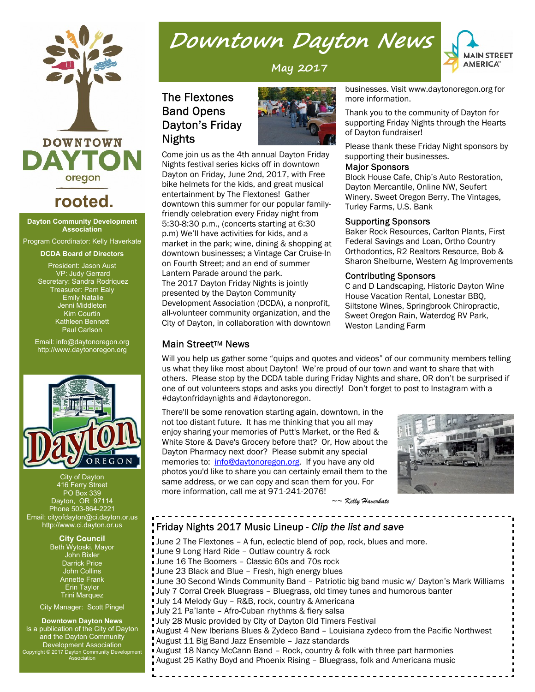

## **rooted.**

**Dayton Community Development Association**

Program Coordinator: Kelly Haverkate

#### **DCDA Board of Directors**

President: Jason Aust VP: Judy Gerrard Secretary: Sandra Rodriquez Treasurer: Pam Ealy Emily Natalie Jenni Middleton Kim Courtin Kathleen Bennett Paul Carlson

Email: info@daytonoregon.org http://www.daytonoregon.org



City of Dayton **416 Ferry Street** PO Box 339 Dayton, OR 97114 Phone 503-864-2221 Email: cityofdayton@ci.dayton.or.us http://www.ci.dayton.or.us

> **City Council** Beth Wytoski, Mayor John Bixler Darrick Price John Collins Annette Frank Erin Taylor Trini Marquez

City Manager: Scott Pingel

#### **Downtown Dayton News**

Is a publication of the City of Dayton and the Dayton Community Development Association Copyright © 2017 Dayton Community Development Association

# Downtown Dayton News

**MAIN STREET AMERICA**®

**May 2017**

## **The Flextones Band Opens** Dayton's Friday **Nights**



Come join us as the 4th annual Dayton Friday Nights festival series kicks off in downtown Dayton on Friday, June 2nd, 2017, with Free bike helmets for the kids, and great musical entertainment by The Flextones! Gather downtown this summer for our popular familyfriendly celebration every Friday night from 5:30-8:30 p.m., (concerts starting at 6:30 p.m) We'll have activities for kids, and a market in the park; wine, dining & shopping at downtown businesses; a Vintage Car Cruise-In on Fourth Street; and an end of summer Lantern Parade around the park. The 2017 Dayton Friday Nights is jointly presented by the Dayton Community Development Association (DCDA), a nonprofit, all-volunteer community organization, and the City of Dayton, in collaboration with downtown

businesses. Visit www.daytonoregon.org for more information.

Thank you to the community of Dayton for supporting Friday Nights through the Hearts of Dayton fundraiser!

Please thank these Friday Night sponsors by supporting their businesses.

#### **Major Sponsors**

Block House Cafe, Chip's Auto Restoration, Dayton Mercantile, Online NW, Seufert Winery, Sweet Oregon Berry, The Vintages, Turley Farms, U.S. Bank

#### **Supporting Sponsors**

Baker Rock Resources, Carlton Plants, First Federal Savings and Loan, Ortho Country Orthodontics, R2 Realtors Resource, Bob & Sharon Shelburne, Western Ag Improvements

#### **Contributing Sponsors**

C and D Landscaping, Historic Dayton Wine House Vacation Rental, Lonestar BBQ, Siltstone Wines, Springbrook Chiropractic, Sweet Oregon Rain, Waterdog RV Park, Weston Landing Farm

#### **Main Street™ News**

Will you help us gather some "quips and quotes and videos" of our community members telling us what they like most about Dayton! We're proud of our town and want to share that with others. Please stop by the DCDA table during Friday Nights and share, OR don't be surprised if one of out volunteers stops and asks you directly! Don't forget to post to Instagram with a #daytonfridaynights and #daytonoregon.

There'll be some renovation starting again, downtown, in the not too distant future. It has me thinking that you all may enjoy sharing your memories of Putt's Market, or the Red & White Store & Dave's Grocery before that? Or, How about the Dayton Pharmacy next door? Please submit any special memories to: info@daytonoregon.org. If you have any old photos you'd like to share you can certainly email them to the same address, or we can copy and scan them for you. For more information, call me at 971-241-2076!



 *~~ Kelly Haverkate*

#### Friday Nights 2017 Music Lineup - Clip the list and save

June 2 The Flextones – A fun, eclectic blend of pop, rock, blues and more. June 9 Long Hard Ride – Outlaw country & rock June 16 The Boomers – Classic 60s and 70s rock June 23 Black and Blue – Fresh, high energy blues June 30 Second Winds Community Band - Patriotic big band music w/ Dayton's Mark Williams July 7 Corral Creek Bluegrass – Bluegrass, old timey tunes and humorous banter July 14 Melody Guy – R&B, rock, country & Americana July 21 Pa'lante – Afro-Cuban rhythms & fiery salsa July 28 Music provided by City of Dayton Old Timers Festival August 4 New Iberians Blues & Zydeco Band – Louisiana zydeco from the Pacific Northwest August 11 Big Band Jazz Ensemble – Jazz standards August 18 Nancy McCann Band – Rock, country & folk with three part harmonies August 25 Kathy Boyd and Phoenix Rising – Bluegrass, folk and Americana music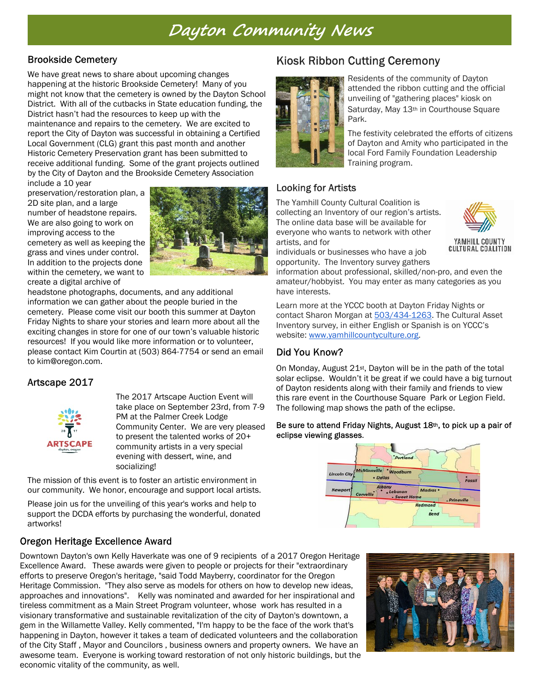## Dayton Community News

### **Brookside Cemetery**

We have great news to share about upcoming changes happening at the historic Brookside Cemetery! Many of you might not know that the cemetery is owned by the Dayton School District. With all of the cutbacks in State education funding, the District hasn't had the resources to keep up with the maintenance and repairs to the cemetery. We are excited to report the City of Dayton was successful in obtaining a Certified Local Government (CLG) grant this past month and another Historic Cemetery Preservation grant has been submitted to receive additional funding. Some of the grant projects outlined by the City of Dayton and the Brookside Cemetery Association

include a 10 year preservation/restoration plan, a 2D site plan, and a large number of headstone repairs. We are also going to work on improving access to the cemetery as well as keeping the grass and vines under control. In addition to the projects done within the cemetery, we want to create a digital archive of



headstone photographs, documents, and any additional information we can gather about the people buried in the cemetery. Please come visit our booth this summer at Dayton Friday Nights to share your stories and learn more about all the exciting changes in store for one of our town's valuable historic resources! If you would like more information or to volunteer, please contact Kim Courtin at (503) 864-7754 or send an email to kim@oregon.com.

## Artscape 2017



The 2017 Artscape Auction Event will take place on September 23rd, from 7-9 PM at the Palmer Creek Lodge Community Center. We are very pleased to present the talented works of 20+ community artists in a very special evening with dessert, wine, and socializing!

The mission of this event is to foster an artistic environment in our community. We honor, encourage and support local artists.

Please join us for the unveiling of this year's works and help to support the DCDA efforts by purchasing the wonderful, donated artworks!

## Oregon Heritage Excellence Award

Downtown Dayton's own Kelly Haverkate was one of 9 recipients of a 2017 Oregon Heritage Excellence Award. These awards were given to people or projects for their "extraordinary efforts to preserve Oregon's heritage, "said Todd Mayberry, coordinator for the Oregon Heritage Commission. "They also serve as models for others on how to develop new ideas, approaches and innovations". Kelly was nominated and awarded for her inspirational and tireless commitment as a Main Street Program volunteer, whose work has resulted in a visionary transformative and sustainable revitalization of the city of Dayton's downtown, a gem in the Willamette Valley. Kelly commented, "I'm happy to be the face of the work that's happening in Dayton, however it takes a team of dedicated volunteers and the collaboration of the City Staff , Mayor and Councilors , business owners and property owners. We have an awesome team. Everyone is working toward restoration of not only historic buildings, but the economic vitality of the community, as well.

## **Kiosk Ribbon Cutting Ceremony**



Residents of the community of Dayton attended the ribbon cutting and the official unveiling of "gathering places" kiosk on Saturday, May 13th in Courthouse Square Park.

The festivity celebrated the efforts of citizens of Dayton and Amity who participated in the local Ford Family Foundation Leadership Training program.

## **Looking for Artists**

The Yamhill County Cultural Coalition is collecting an Inventory of our region's artists. The online data base will be available for everyone who wants to network with other artists, and for

individuals or businesses who have a job opportunity. The Inventory survey gathers



YAMHILL COUNTY **CULTURAL COALITION** 

information about professional, skilled/non-pro, and even the amateur/hobbyist. You may enter as many categories as you have interests.

Learn more at the YCCC booth at Dayton Friday Nights or contact Sharon Morgan at 503/434-1263. The Cultural Asset Inventory survey, in either English or Spanish is on YCCC's website: www.yamhillcountyculture.org.

## Did You Know?

On Monday, August 21st, Dayton will be in the path of the total solar eclipse. Wouldn't it be great if we could have a big turnout of Dayton residents along with their family and friends to view this rare event in the Courthouse Square Park or Legion Field. The following map shows the path of the eclipse.

Be sure to attend Friday Nights, August 18th, to pick up a pair of eclipse viewing glasses.



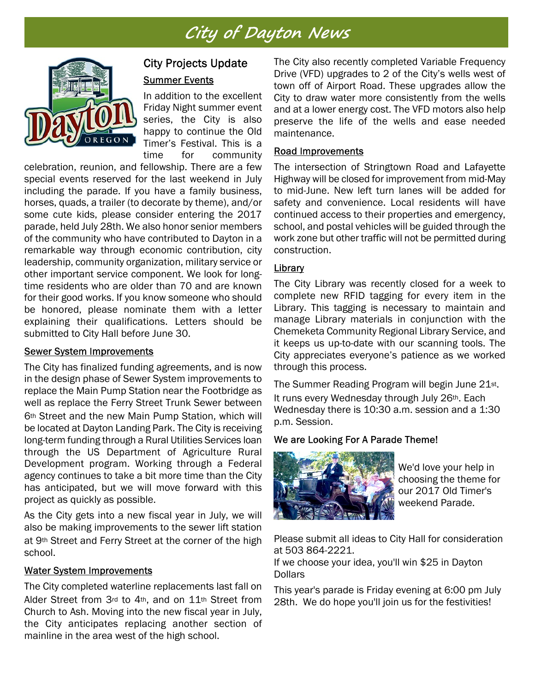# City of Dayton News



## **City Projects Update Summer Events**

In addition to the excellent Friday Night summer event series, the City is also happy to continue the Old Timer's Festival. This is a time for community

celebration, reunion, and fellowship. There are a few special events reserved for the last weekend in July including the parade. If you have a family business, horses, quads, a trailer (to decorate by theme), and/or some cute kids, please consider entering the 2017 parade, held July 28th. We also honor senior members of the community who have contributed to Dayton in a remarkable way through economic contribution, city leadership, community organization, military service or other important service component. We look for longtime residents who are older than 70 and are known for their good works. If you know someone who should be honored, please nominate them with a letter explaining their qualifications. Letters should be submitted to City Hall before June 30.

#### **Sewer System Improvements**

The City has finalized funding agreements, and is now in the design phase of Sewer System improvements to replace the Main Pump Station near the Footbridge as well as replace the Ferry Street Trunk Sewer between 6th Street and the new Main Pump Station, which will be located at Dayton Landing Park. The City is receiving long-term funding through a Rural Utilities Services loan through the US Department of Agriculture Rural Development program. Working through a Federal agency continues to take a bit more time than the City has anticipated, but we will move forward with this project as quickly as possible.

As the City gets into a new fiscal year in July, we will also be making improvements to the sewer lift station at 9th Street and Ferry Street at the corner of the high school.

#### **Water System Improvements**

The City completed waterline replacements last fall on Alder Street from 3rd to 4th, and on 11th Street from Church to Ash. Moving into the new fiscal year in July, the City anticipates replacing another section of mainline in the area west of the high school.

The City also recently completed Variable Frequency Drive (VFD) upgrades to 2 of the City's wells west of town off of Airport Road. These upgrades allow the City to draw water more consistently from the wells and at a lower energy cost. The VFD motors also help preserve the life of the wells and ease needed maintenance.

### Road Improvements

The intersection of Stringtown Road and Lafayette Highway will be closed for improvement from mid-May to mid-June. New left turn lanes will be added for safety and convenience. Local residents will have continued access to their properties and emergency, school, and postal vehicles will be guided through the work zone but other traffic will not be permitted during construction.

### Library

The City Library was recently closed for a week to complete new RFID tagging for every item in the Library. This tagging is necessary to maintain and manage Library materials in conjunction with the Chemeketa Community Regional Library Service, and it keeps us up-to-date with our scanning tools. The City appreciates everyone's patience as we worked through this process.

The Summer Reading Program will begin June 21st. It runs every Wednesday through July 26th. Each Wednesday there is 10:30 a.m. session and a 1:30 p.m. Session.

We are Looking For A Parade Theme!



We'd love your help in choosing the theme for our 2017 Old Timer's weekend Parade.

Please submit all ideas to City Hall for consideration at 503 864-2221.

If we choose your idea, you'll win \$25 in Dayton **Dollars** 

This year's parade is Friday evening at 6:00 pm July 28th. We do hope you'll join us for the festivities!